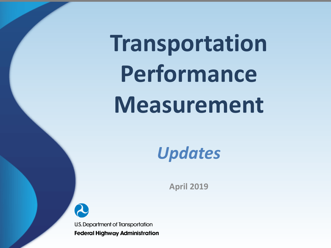# **Transportation Performance Measurement**

*Updates*

**April 2019**

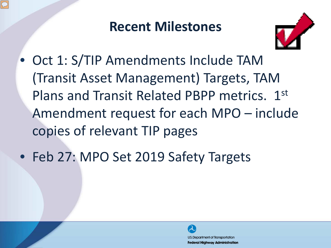#### **Recent Milestones**



- Oct 1: S/TIP Amendments Include TAM (Transit Asset Management) Targets, TAM Plans and Transit Related PBPP metrics. 1st Amendment request for each MPO – include copies of relevant TIP pages
- Feb 27: MPO Set 2019 Safety Targets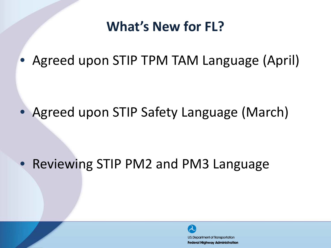### **What's New for FL?**

• Agreed upon STIP TPM TAM Language (April)

Agreed upon STIP Safety Language (March)

# • Reviewing STIP PM2 and PM3 Language

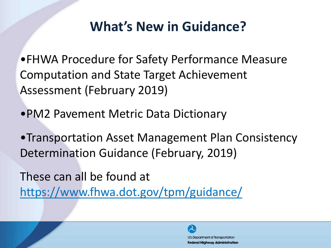# **What's New in Guidance?**

•FHWA Procedure for Safety Performance Measure Computation and State Target Achievement Assessment (February 2019)

•PM2 Pavement Metric Data Dictionary

•Transportation Asset Management Plan Consistency Determination Guidance (February, 2019)

These can all be found at <https://www.fhwa.dot.gov/tpm/guidance/>

> U.S. Department of Transportation **Federal Highway Administration**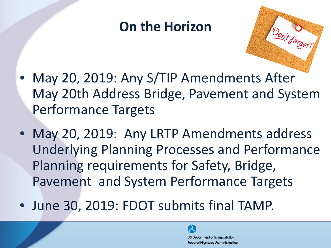#### **On the Horizon**

- 
- May 20, 2019: Any S/TIP Amendments After May 20th Address Bridge, Pavement and System Performance Targets
- May 20, 2019: Any LRTP Amendments address Underlying Planning Processes and Performance Planning requirements for Safety, Bridge, Pavement and System Performance Targets
- June 30, 2019: FDOT submits final TAMP.

U.S. Department of Transportation **Federal Highway Administration**